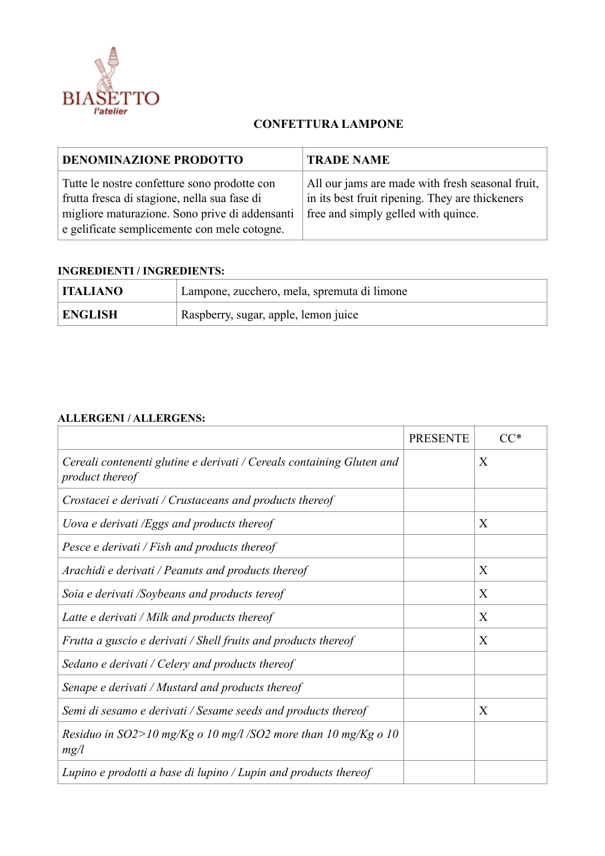

## **CONFETTURA LAMPONE**

| <b>DENOMINAZIONE PRODOTTO</b>                                                                                                                                                                  | <b>TRADE NAME</b>                                                                                                                          |
|------------------------------------------------------------------------------------------------------------------------------------------------------------------------------------------------|--------------------------------------------------------------------------------------------------------------------------------------------|
| Tutte le nostre confetture sono prodotte con<br>frutta fresca di stagione, nella sua fase di<br>migliore maturazione. Sono prive di addensanti<br>e gelificate semplicemente con mele cotogne. | All our jams are made with fresh seasonal fruit,<br>in its best fruit ripening. They are thickeners<br>free and simply gelled with quince. |

## **INGREDIENTI / INGREDIENTS:**

| <b>ITALIANO</b> | Lampone, zucchero, mela, spremuta di limone |
|-----------------|---------------------------------------------|
| <b>ENGLISH</b>  | Raspberry, sugar, apple, lemon juice        |

## **ALLERGENI / ALLERGENS:**

|                                                                                                 | <b>PRESENTE</b> |   |
|-------------------------------------------------------------------------------------------------|-----------------|---|
| Cereali contenenti glutine e derivati / Cereals containing Gluten and<br><i>product thereof</i> |                 | X |
| Crostacei e derivati / Crustaceans and products thereof                                         |                 |   |
| Uova e derivati /Eggs and products thereof                                                      |                 | X |
| Pesce e derivati / Fish and products thereof                                                    |                 |   |
| Arachidi e derivati / Peanuts and products thereof                                              |                 | X |
| Soia e derivati /Soybeans and products tereof                                                   |                 | X |
| Latte e derivati / Milk and products thereof                                                    |                 | X |
| Frutta a guscio e derivati / Shell fruits and products thereof                                  |                 | X |
| Sedano e derivati / Celery and products thereof                                                 |                 |   |
| Senape e derivati / Mustard and products thereof                                                |                 |   |
| Semi di sesamo e derivati / Sesame seeds and products thereof                                   |                 | X |
| Residuo in SO2>10 mg/Kg o 10 mg/l /SO2 more than 10 mg/Kg o 10<br>mg/l                          |                 |   |
| Lupino e prodotti a base di lupino / Lupin and products thereof                                 |                 |   |